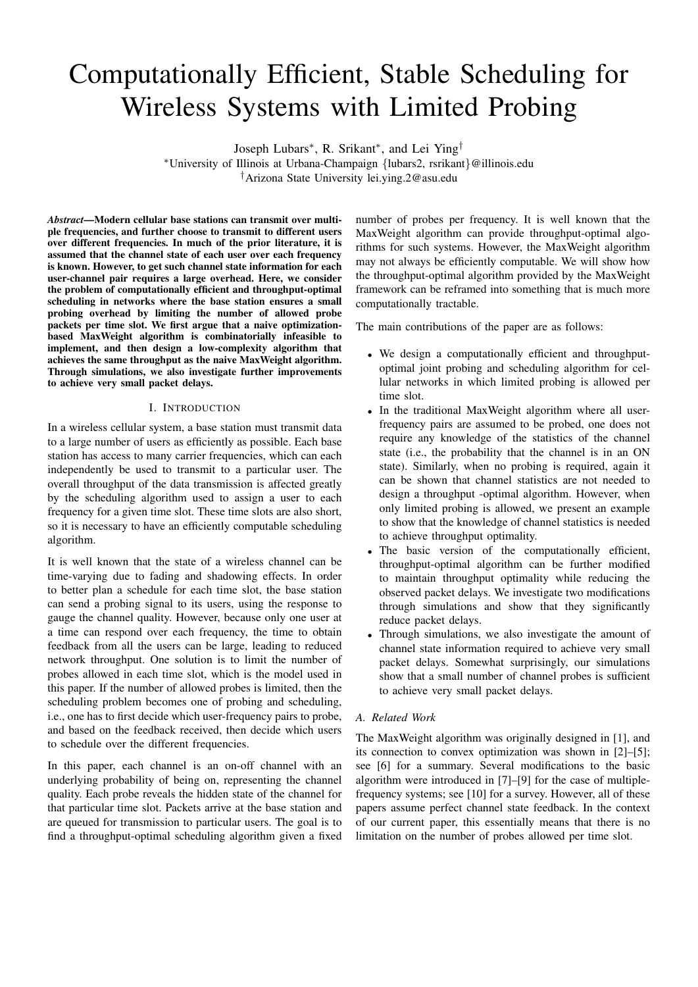# Computationally Efficient, Stable Scheduling for Wireless Systems with Limited Probing

Joseph Lubars<sup>∗</sup> , R. Srikant<sup>∗</sup> , and Lei Ying†

<sup>∗</sup>University of Illinois at Urbana-Champaign {lubars2, rsrikant}@illinois.edu †Arizona State University lei.ying.2@asu.edu

*Abstract*—Modern cellular base stations can transmit over multiple frequencies, and further choose to transmit to different users over different frequencies. In much of the prior literature, it is assumed that the channel state of each user over each frequency is known. However, to get such channel state information for each user-channel pair requires a large overhead. Here, we consider the problem of computationally efficient and throughput-optimal scheduling in networks where the base station ensures a small probing overhead by limiting the number of allowed probe packets per time slot. We first argue that a naive optimizationbased MaxWeight algorithm is combinatorially infeasible to implement, and then design a low-complexity algorithm that achieves the same throughput as the naive MaxWeight algorithm. Through simulations, we also investigate further improvements to achieve very small packet delays.

# I. INTRODUCTION

In a wireless cellular system, a base station must transmit data to a large number of users as efficiently as possible. Each base station has access to many carrier frequencies, which can each independently be used to transmit to a particular user. The overall throughput of the data transmission is affected greatly by the scheduling algorithm used to assign a user to each frequency for a given time slot. These time slots are also short, so it is necessary to have an efficiently computable scheduling algorithm.

It is well known that the state of a wireless channel can be time-varying due to fading and shadowing effects. In order to better plan a schedule for each time slot, the base station can send a probing signal to its users, using the response to gauge the channel quality. However, because only one user at a time can respond over each frequency, the time to obtain feedback from all the users can be large, leading to reduced network throughput. One solution is to limit the number of probes allowed in each time slot, which is the model used in this paper. If the number of allowed probes is limited, then the scheduling problem becomes one of probing and scheduling, i.e., one has to first decide which user-frequency pairs to probe, and based on the feedback received, then decide which users to schedule over the different frequencies.

In this paper, each channel is an on-off channel with an underlying probability of being on, representing the channel quality. Each probe reveals the hidden state of the channel for that particular time slot. Packets arrive at the base station and are queued for transmission to particular users. The goal is to find a throughput-optimal scheduling algorithm given a fixed

number of probes per frequency. It is well known that the MaxWeight algorithm can provide throughput-optimal algorithms for such systems. However, the MaxWeight algorithm may not always be efficiently computable. We will show how the throughput-optimal algorithm provided by the MaxWeight framework can be reframed into something that is much more computationally tractable.

The main contributions of the paper are as follows:

- We design a computationally efficient and throughputoptimal joint probing and scheduling algorithm for cellular networks in which limited probing is allowed per time slot.
- In the traditional MaxWeight algorithm where all userfrequency pairs are assumed to be probed, one does not require any knowledge of the statistics of the channel state (i.e., the probability that the channel is in an ON state). Similarly, when no probing is required, again it can be shown that channel statistics are not needed to design a throughput -optimal algorithm. However, when only limited probing is allowed, we present an example to show that the knowledge of channel statistics is needed to achieve throughput optimality.
- The basic version of the computationally efficient, throughput-optimal algorithm can be further modified to maintain throughput optimality while reducing the observed packet delays. We investigate two modifications through simulations and show that they significantly reduce packet delays.
- Through simulations, we also investigate the amount of channel state information required to achieve very small packet delays. Somewhat surprisingly, our simulations show that a small number of channel probes is sufficient to achieve very small packet delays.

# *A. Related Work*

The MaxWeight algorithm was originally designed in [1], and its connection to convex optimization was shown in [2]–[5]; see [6] for a summary. Several modifications to the basic algorithm were introduced in [7]–[9] for the case of multiplefrequency systems; see [10] for a survey. However, all of these papers assume perfect channel state feedback. In the context of our current paper, this essentially means that there is no limitation on the number of probes allowed per time slot.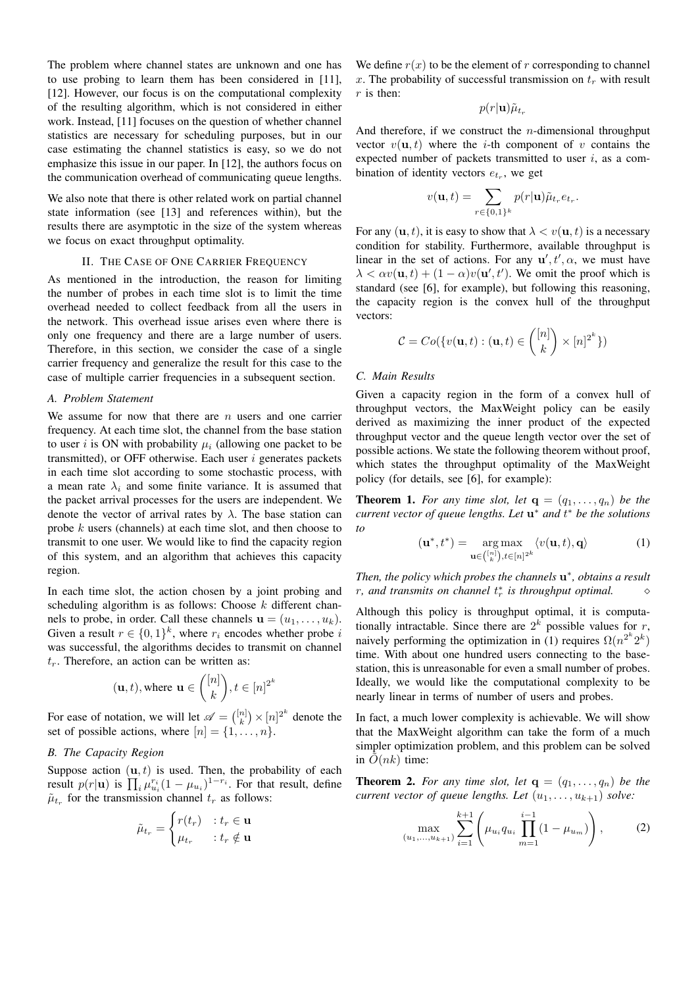The problem where channel states are unknown and one has to use probing to learn them has been considered in [11], [12]. However, our focus is on the computational complexity of the resulting algorithm, which is not considered in either work. Instead, [11] focuses on the question of whether channel statistics are necessary for scheduling purposes, but in our case estimating the channel statistics is easy, so we do not emphasize this issue in our paper. In [12], the authors focus on the communication overhead of communicating queue lengths.

We also note that there is other related work on partial channel state information (see [13] and references within), but the results there are asymptotic in the size of the system whereas we focus on exact throughput optimality.

## II. THE CASE OF ONE CARRIER FREQUENCY

As mentioned in the introduction, the reason for limiting the number of probes in each time slot is to limit the time overhead needed to collect feedback from all the users in the network. This overhead issue arises even where there is only one frequency and there are a large number of users. Therefore, in this section, we consider the case of a single carrier frequency and generalize the result for this case to the case of multiple carrier frequencies in a subsequent section.

#### *A. Problem Statement*

We assume for now that there are  $n$  users and one carrier frequency. At each time slot, the channel from the base station to user i is ON with probability  $\mu_i$  (allowing one packet to be transmitted), or OFF otherwise. Each user  $i$  generates packets in each time slot according to some stochastic process, with a mean rate  $\lambda_i$  and some finite variance. It is assumed that the packet arrival processes for the users are independent. We denote the vector of arrival rates by  $\lambda$ . The base station can probe k users (channels) at each time slot, and then choose to transmit to one user. We would like to find the capacity region of this system, and an algorithm that achieves this capacity region.

In each time slot, the action chosen by a joint probing and scheduling algorithm is as follows: Choose  $k$  different channels to probe, in order. Call these channels  $\mathbf{u} = (u_1, \dots, u_k)$ . Given a result  $r \in \{0,1\}^k$ , where  $r_i$  encodes whether probe i was successful, the algorithms decides to transmit on channel  $t_r$ . Therefore, an action can be written as:

$$
(\mathbf{u},t),
$$
 where  $\mathbf{u} \in \binom{[n]}{k}, t \in [n]^{2^k}$ 

For ease of notation, we will let  $\mathscr{A} = \binom{[n]}{k} \times [n]^{2^k}$  denote the set of possible actions, where  $[n] = \{1, \ldots, n\}.$ 

## *B. The Capacity Region*

Suppose action  $(\mathbf{u}, t)$  is used. Then, the probability of each result  $p(r|\mathbf{u})$  is  $\prod_i \mu_{u_i}^{r_i} (1 - \mu_{u_i})^{1 - r_i}$ . For that result, define  $\tilde{\mu}_{t_r}$  for the transmission channel  $t_r$  as follows:

$$
\tilde{\mu}_{t_r} = \begin{cases} r(t_r) & : t_r \in \mathbf{u} \\ \mu_{t_r} & : t_r \notin \mathbf{u} \end{cases}
$$

We define  $r(x)$  to be the element of r corresponding to channel x. The probability of successful transmission on  $t_r$  with result  $r$  is then:

$$
p(r|\mathbf{u})\tilde{\mu}_{t_r}
$$

And therefore, if we construct the  $n$ -dimensional throughput vector  $v(\mathbf{u}, t)$  where the *i*-th component of v contains the expected number of packets transmitted to user  $i$ , as a combination of identity vectors  $e_{t_r}$ , we get

$$
v(\mathbf{u},t) = \sum_{r \in \{0,1\}^k} p(r|\mathbf{u}) \tilde{\mu}_{t_r} e_{t_r}.
$$

For any  $(u, t)$ , it is easy to show that  $\lambda < v(u, t)$  is a necessary condition for stability. Furthermore, available throughput is linear in the set of actions. For any  $\mathbf{u}', t', \alpha$ , we must have  $\lambda < \alpha v(\mathbf{u}, t) + (1 - \alpha)v(\mathbf{u}', t')$ . We omit the proof which is standard (see [6], for example), but following this reasoning, the capacity region is the convex hull of the throughput vectors:

$$
C = Co(\lbrace v(\mathbf{u},t) : (\mathbf{u},t) \in \binom{[n]}{k} \times [n]^{2^k} \rbrace)
$$

# *C. Main Results*

Given a capacity region in the form of a convex hull of throughput vectors, the MaxWeight policy can be easily derived as maximizing the inner product of the expected throughput vector and the queue length vector over the set of possible actions. We state the following theorem without proof, which states the throughput optimality of the MaxWeight policy (for details, see [6], for example):

**Theorem 1.** For any time slot, let  $q = (q_1, \ldots, q_n)$  be the *current vector of queue lengths. Let* u <sup>∗</sup> *and* t <sup>∗</sup> *be the solutions to*

$$
(\mathbf{u}^*, t^*) = \underset{\mathbf{u} \in \binom{[n]}{k}, t \in [n]^{2^k}}{\arg \max} \langle v(\mathbf{u}, t), \mathbf{q} \rangle \tag{1}
$$

Then, the policy which probes the channels  $\mathbf{u}^*$ , obtains a result *r*, and transmits on channel  $t_r^*$  is throughput optimal. △

Although this policy is throughput optimal, it is computationally intractable. Since there are  $2^k$  possible values for r, naively performing the optimization in (1) requires  $\Omega(n^{2^k} 2^k)$ time. With about one hundred users connecting to the basestation, this is unreasonable for even a small number of probes. Ideally, we would like the computational complexity to be nearly linear in terms of number of users and probes.

In fact, a much lower complexity is achievable. We will show that the MaxWeight algorithm can take the form of a much simpler optimization problem, and this problem can be solved in  $O(nk)$  time:

**Theorem 2.** For any time slot, let  $q = (q_1, \ldots, q_n)$  be the *current vector of queue lengths. Let*  $(u_1, \ldots, u_{k+1})$  *solve:* 

$$
\max_{(u_1,\ldots,u_{k+1})} \sum_{i=1}^{k+1} \left( \mu_{u_i} q_{u_i} \prod_{m=1}^{i-1} (1 - \mu_{u_m}) \right), \tag{2}
$$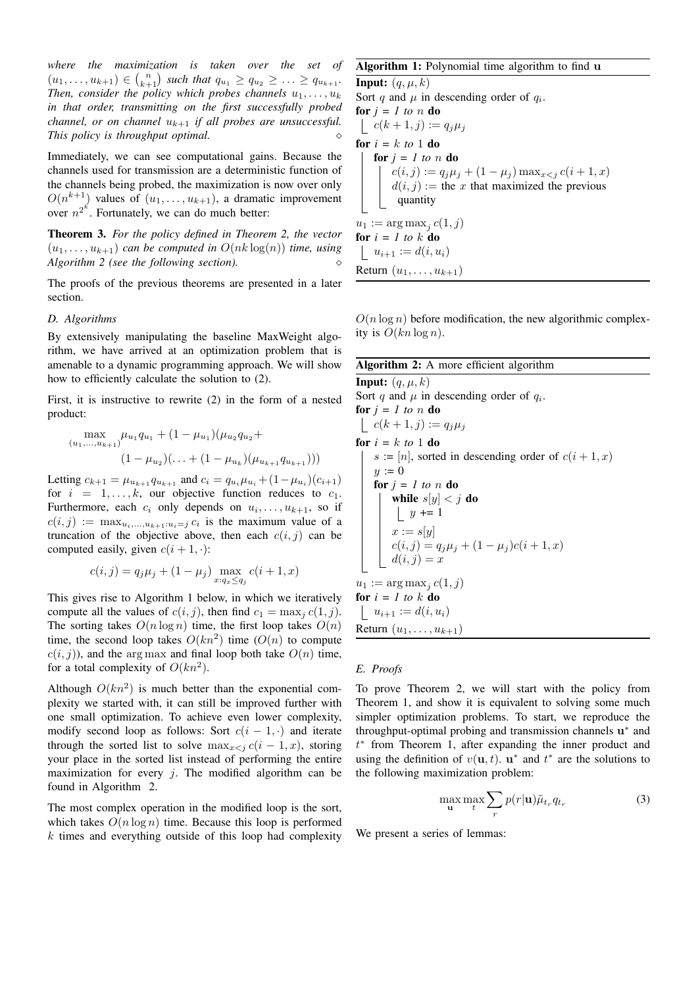*where the maximization is taken over the set of*  $(u_1, \ldots, u_{k+1}) \in {n \choose k+1}$  such that  $q_{u_1} \ge q_{u_2} \ge \ldots \ge q_{u_{k+1}}$ . *Then, consider the policy which probes channels*  $u_1, \ldots, u_k$ *in that order, transmitting on the first successfully probed channel, or on channel*  $u_{k+1}$  *if all probes are unsuccessful. This policy is throughput optimal.*

Immediately, we can see computational gains. Because the channels used for transmission are a deterministic function of the channels being probed, the maximization is now over only  $O(n^{k+1})$  values of  $(u_1, \ldots, u_{k+1})$ , a dramatic improvement over  $n^{2^k}$ . Fortunately, we can do much better:

Theorem 3. *For the policy defined in Theorem 2, the vector*  $(u_1, \ldots, u_{k+1})$  *can be computed in*  $O(nk \log(n))$  *time, using Algorithm 2 (see the following section).*

The proofs of the previous theorems are presented in a later section.

#### *D. Algorithms*

By extensively manipulating the baseline MaxWeight algorithm, we have arrived at an optimization problem that is amenable to a dynamic programming approach. We will show how to efficiently calculate the solution to (2).

First, it is instructive to rewrite (2) in the form of a nested product:

$$
\max_{(u_1,...,u_{k+1})} \mu_{u_1} q_{u_1} + (1 - \mu_{u_1}) (\mu_{u_2} q_{u_2} + (1 - \mu_{u_2}) (\dots + (1 - \mu_{u_k}) (\mu_{u_{k+1}} q_{u_{k+1}})))
$$

Letting  $c_{k+1} = \mu_{u_{k+1}} q_{u_{k+1}}$  and  $c_i = q_{u_i} \mu_{u_i} + (1 - \mu_{u_i})(c_{i+1})$ for  $i = 1, \ldots, k$ , our objective function reduces to  $c_1$ . Furthermore, each  $c_i$  only depends on  $u_i, \ldots, u_{k+1}$ , so if  $c(i, j) := \max_{u_i, \dots, u_{k+1}: u_i = j} c_i$  is the maximum value of a truncation of the objective above, then each  $c(i, j)$  can be computed easily, given  $c(i + 1, \cdot)$ :

$$
c(i, j) = q_j \mu_j + (1 - \mu_j) \max_{x: q_x \le q_j} c(i + 1, x)
$$

This gives rise to Algorithm 1 below, in which we iteratively compute all the values of  $c(i, j)$ , then find  $c_1 = \max_i c(1, j)$ . The sorting takes  $O(n \log n)$  time, the first loop takes  $O(n)$ time, the second loop takes  $O(kn^2)$  time  $(O(n))$  to compute  $c(i, j)$ , and the arg max and final loop both take  $O(n)$  time, for a total complexity of  $O(kn^2)$ .

Although  $O(kn^2)$  is much better than the exponential complexity we started with, it can still be improved further with one small optimization. To achieve even lower complexity, modify second loop as follows: Sort  $c(i - 1, \cdot)$  and iterate through the sorted list to solve  $\max_{x \leq j} c(i - 1, x)$ , storing your place in the sorted list instead of performing the entire maximization for every  $j$ . The modified algorithm can be found in Algorithm 2.

The most complex operation in the modified loop is the sort, which takes  $O(n \log n)$  time. Because this loop is performed  $k$  times and everything outside of this loop had complexity

## Algorithm 1: Polynomial time algorithm to find u

**Input:**  $(q, \mu, k)$ Sort q and  $\mu$  in descending order of  $q_i$ . for  $j = 1$  to  $n$  do  $c(k+1, j) := q_j \mu_j$ for  $i = k$  *to* 1 do for  $j = 1$  to  $n$  do  $c(i, j) := q_j \mu_j + (1 - \mu_j) \max_{x < j} c(i + 1, x)$  $d(i, j) :=$  the x that maximized the previous quantity  $u_1 := \arg \max_j c(1, j)$ for  $i = 1$  to  $k$  do  $|u_{i+1} := d(i, u_i)$ Return  $(u_1, \ldots, u_{k+1})$ 

 $O(n \log n)$  before modification, the new algorithmic complexity is  $O(kn \log n)$ .

## Algorithm 2: A more efficient algorithm

**Input:**  $(q, \mu, k)$ Sort q and  $\mu$  in descending order of  $q_i$ . for  $j = 1$  to n do  $c(k+1,j) := q_j \mu_j$ for  $i = k$  *to* 1 do  $s := [n]$ , sorted in descending order of  $c(i + 1, x)$  $y := 0$ for  $j = 1$  to  $n$  do while  $s[y] < j$  do  $|y| = 1$  $x := s[y]$  $c(i, j) = q_j \mu_j + (1 - \mu_j)c(i + 1, x)$  $d(i, j) = x$  $u_1 := \arg \max_j c(1, j)$ for  $i = 1$  to  $k$  do  $|u_{i+1} := d(i, u_i)$ Return  $(u_1, \ldots, u_{k+1})$ 

## *E. Proofs*

To prove Theorem 2, we will start with the policy from Theorem 1, and show it is equivalent to solving some much simpler optimization problems. To start, we reproduce the throughput-optimal probing and transmission channels  $u^*$  and t ∗ from Theorem 1, after expanding the inner product and using the definition of  $v(\mathbf{u}, t)$ .  $\mathbf{u}^*$  and  $t^*$  are the solutions to the following maximization problem:

$$
\max_{\mathbf{u}} \max_{t} \sum_{r} p(r|\mathbf{u}) \tilde{\mu}_{t_r} q_{t_r} \tag{3}
$$

We present a series of lemmas: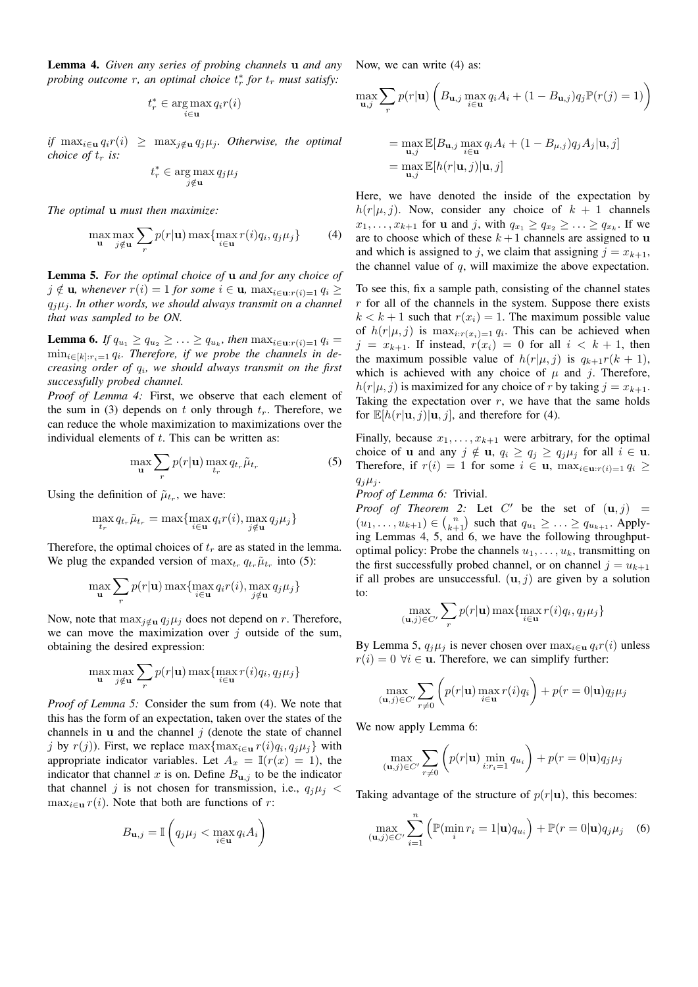Lemma 4. *Given any series of probing channels* u *and any probing outcome r, an optimal choice*  $t_r^*$  *for*  $t_r$  *must satisfy*:

$$
t_r^* \in \operatornamewithlimits{arg\,max}_{i \in \mathbf{u}} q_i r(i)
$$

*if*  $\max_{i \in \mathbf{u}} q_i r(i) \geq \max_{j \notin \mathbf{u}} q_j \mu_j$ *. Otherwise, the optimal choice of*  $t_r$  *is:* 

$$
t_r^* \in \argmax_{j \notin \mathbf{u}} q_j \mu_j
$$

*The optimal* u *must then maximize:*

$$
\max_{\mathbf{u}} \max_{j \notin \mathbf{u}} \sum_{r} p(r|\mathbf{u}) \max \{ \max_{i \in \mathbf{u}} r(i) q_i, q_j \mu_j \} \tag{4}
$$

Lemma 5. *For the optimal choice of* u *and for any choice of*  $j \notin u$ , whenever  $r(i) = 1$  for some  $i \in u$ ,  $\max_{i \in u : r(i) = 1} q_i \ge$  $q_i\mu_i$ . In other words, we should always transmit on a channel *that was sampled to be ON.*

**Lemma 6.** If  $q_{u_1} \ge q_{u_2} \ge \ldots \ge q_{u_k}$ , then  $\max_{i \in \mathbf{u}: r(i) = 1} q_i =$ min<sub>i∈[k]:r<sub>i</sub>=1 q<sub>i</sub>. Therefore, if we probe the channels in de-</sub> *creasing order of* q<sup>i</sup> *, we should always transmit on the first successfully probed channel.*

*Proof of Lemma 4:* First, we observe that each element of the sum in (3) depends on t only through  $t_r$ . Therefore, we can reduce the whole maximization to maximizations over the individual elements of  $t$ . This can be written as:

$$
\max_{\mathbf{u}} \sum_{r} p(r|\mathbf{u}) \max_{t_r} q_{t_r} \tilde{\mu}_{t_r}
$$
 (5)

Using the definition of  $\tilde{\mu}_{t_r}$ , we have:

$$
\max_{t_r} q_{t_r} \tilde{\mu}_{t_r} = \max \{ \max_{i \in \mathbf{u}} q_i r(i), \max_{j \notin \mathbf{u}} q_j \mu_j \}
$$

Therefore, the optimal choices of  $t_r$  are as stated in the lemma. We plug the expanded version of  $\max_{t_r} q_{t_r} \tilde{\mu}_{t_r}$  into (5):

$$
\max_{\mathbf{u}} \sum_{r} p(r|\mathbf{u}) \max \{ \max_{i \in \mathbf{u}} q_i r(i), \max_{j \notin \mathbf{u}} q_j \mu_j \}
$$

Now, note that  $\max_{j \notin \mathbf{u}} q_j \mu_j$  does not depend on r. Therefore, we can move the maximization over  $j$  outside of the sum, obtaining the desired expression:

$$
\max_{\mathbf{u}} \max_{j \notin \mathbf{u}} \sum_{r} p(r|\mathbf{u}) \max \{ \max_{i \in \mathbf{u}} r(i) q_i, q_j \mu_j \}
$$

*Proof of Lemma 5:* Consider the sum from (4). We note that this has the form of an expectation, taken over the states of the channels in  $\bf{u}$  and the channel  $\dot{\bf{\jmath}}$  (denote the state of channel j by  $r(j)$ ). First, we replace  $\max\{\max_{i\in \mathbf{u}} r(i)q_i, q_j\mu_j\}$  with appropriate indicator variables. Let  $A_x = \mathbb{I}(r(x) = 1)$ , the indicator that channel x is on. Define  $B_{\mathbf{u},j}$  to be the indicator that channel j is not chosen for transmission, i.e.,  $q_j \mu_j$  <  $\max_{i \in \mathbf{u}} r(i)$ . Note that both are functions of r:

$$
B_{\mathbf{u},j} = \mathbb{I}\left(q_j\mu_j < \max_{i \in \mathbf{u}} q_i A_i\right)
$$

Now, we can write (4) as:

$$
\max_{\mathbf{u},j} \sum_{r} p(r|\mathbf{u}) \left( B_{\mathbf{u},j} \max_{i \in \mathbf{u}} q_i A_i + (1 - B_{\mathbf{u},j}) q_j \mathbb{P}(r(j) = 1) \right)
$$

$$
= \max_{\mathbf{u},j} \mathbb{E}[B_{\mathbf{u},j} \max_{i \in \mathbf{u}} q_i A_i + (1 - B_{\mu,j}) q_j A_j | \mathbf{u}, j]
$$
  
= 
$$
\max_{\mathbf{u},j} \mathbb{E}[h(r|\mathbf{u},j)|\mathbf{u},j]
$$

Here, we have denoted the inside of the expectation by  $h(r|\mu, j)$ . Now, consider any choice of  $k + 1$  channels  $x_1, \ldots, x_{k+1}$  for **u** and *j*, with  $q_{x_1} \ge q_{x_2} \ge \ldots \ge q_{x_k}$ . If we are to choose which of these  $k+1$  channels are assigned to u and which is assigned to j, we claim that assigning  $j = x_{k+1}$ , the channel value of  $q$ , will maximize the above expectation.

To see this, fix a sample path, consisting of the channel states  $r$  for all of the channels in the system. Suppose there exists  $k < k + 1$  such that  $r(x_i) = 1$ . The maximum possible value of  $h(r|\mu, j)$  is  $\max_{i: r(x_i)=1} q_i$ . This can be achieved when  $j = x_{k+1}$ . If instead,  $r(x_i) = 0$  for all  $i < k+1$ , then the maximum possible value of  $h(r|\mu, j)$  is  $q_{k+1}r(k+1)$ , which is achieved with any choice of  $\mu$  and j. Therefore,  $h(r|\mu, j)$  is maximized for any choice of r by taking  $j = x_{k+1}$ . Taking the expectation over  $r$ , we have that the same holds for  $\mathbb{E}[h(r|\mathbf{u}, j)|\mathbf{u}, j]$ , and therefore for (4).

Finally, because  $x_1, \ldots, x_{k+1}$  were arbitrary, for the optimal choice of **u** and any  $j \notin u$ ,  $q_i \ge q_j \ge q_j \mu_j$  for all  $i \in u$ . Therefore, if  $r(i) = 1$  for some  $i \in \mathbf{u}$ ,  $\max_{i \in \mathbf{u} : r(i) = 1} q_i \geq$  $q_j\mu_i$ .

## *Proof of Lemma 6:* Trivial.

*Proof of Theorem 2:* Let  $C'$  be the set of  $(\mathbf{u}, j)$  =  $(u_1, \ldots, u_{k+1}) \in {n \choose k+1}$  such that  $q_{u_1} \geq \ldots \geq q_{u_{k+1}}$ . Applying Lemmas 4, 5, and 6, we have the following throughputoptimal policy: Probe the channels  $u_1, \ldots, u_k$ , transmitting on the first successfully probed channel, or on channel  $j = u_{k+1}$ if all probes are unsuccessful.  $(\mathbf{u}, j)$  are given by a solution to:

$$
\max_{(\mathbf{u},j)\in C'} \sum_{r} p(r|\mathbf{u}) \max\{\max_{i\in \mathbf{u}} r(i)q_i, q_j\mu_j\}
$$

By Lemma 5,  $q_j\mu_j$  is never chosen over  $\max_{i \in \mathbf{u}} q_i r(i)$  unless  $r(i) = 0 \ \forall i \in \mathbf{u}$ . Therefore, we can simplify further:

$$
\max_{(\mathbf{u},j)\in C'} \sum_{r\neq 0} \left( p(r|\mathbf{u}) \max_{i\in \mathbf{u}} r(i)q_i \right) + p(r=0|\mathbf{u})q_j\mu_j
$$

We now apply Lemma 6:

$$
\max_{(\mathbf{u},j)\in C'} \sum_{r\neq 0} \left( p(r|\mathbf{u}) \min_{i:r_i=1} q_{u_i} \right) + p(r=0|\mathbf{u})q_j\mu_j
$$

Taking advantage of the structure of  $p(r|\mathbf{u})$ , this becomes:

$$
\max_{(\mathbf{u},j)\in C'} \sum_{i=1}^n \left( \mathbb{P}(\min_i r_i = 1|\mathbf{u}) q_{u_i} \right) + \mathbb{P}(r = 0|\mathbf{u}) q_j \mu_j \quad (6)
$$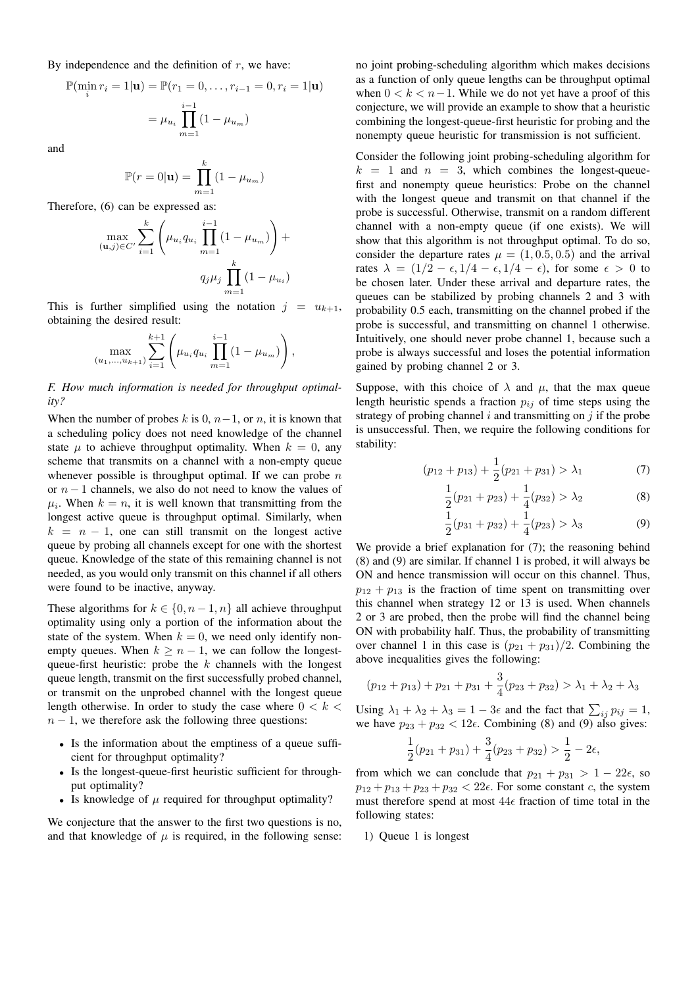By independence and the definition of  $r$ , we have:

$$
\mathbb{P}(\min_{i} r_{i} = 1 | \mathbf{u}) = \mathbb{P}(r_{1} = 0, \dots, r_{i-1} = 0, r_{i} = 1 | \mathbf{u})
$$

$$
= \mu_{u_{i}} \prod_{m=1}^{i-1} (1 - \mu_{u_{m}})
$$

and

$$
\mathbb{P}(r=0|\mathbf{u}) = \prod_{m=1}^{k} (1 - \mu_{u_m})
$$

Therefore, (6) can be expressed as:

$$
\max_{(\mathbf{u},j)\in C'} \sum_{i=1}^k \left( \mu_{u_i} q_{u_i} \prod_{m=1}^{i-1} (1 - \mu_{u_m}) \right) +
$$

$$
q_j \mu_j \prod_{m=1}^k (1 - \mu_{u_i})
$$

This is further simplified using the notation  $j = u_{k+1}$ , obtaining the desired result:

$$
\max_{(u_1,...,u_{k+1})} \sum_{i=1}^{k+1} \left( \mu_{u_i} q_{u_i} \prod_{m=1}^{i-1} (1 - \mu_{u_m}) \right),
$$

*F. How much information is needed for throughput optimality?*

When the number of probes k is 0,  $n-1$ , or n, it is known that a scheduling policy does not need knowledge of the channel state  $\mu$  to achieve throughput optimality. When  $k = 0$ , any scheme that transmits on a channel with a non-empty queue whenever possible is throughput optimal. If we can probe  $n$ or  $n - 1$  channels, we also do not need to know the values of  $\mu_i$ . When  $k = n$ , it is well known that transmitting from the longest active queue is throughput optimal. Similarly, when  $k = n - 1$ , one can still transmit on the longest active queue by probing all channels except for one with the shortest queue. Knowledge of the state of this remaining channel is not needed, as you would only transmit on this channel if all others were found to be inactive, anyway.

These algorithms for  $k \in \{0, n-1, n\}$  all achieve throughput optimality using only a portion of the information about the state of the system. When  $k = 0$ , we need only identify nonempty queues. When  $k \geq n-1$ , we can follow the longestqueue-first heuristic: probe the  $k$  channels with the longest queue length, transmit on the first successfully probed channel, or transmit on the unprobed channel with the longest queue length otherwise. In order to study the case where  $0 < k <$  $n - 1$ , we therefore ask the following three questions:

- Is the information about the emptiness of a queue sufficient for throughput optimality?
- Is the longest-queue-first heuristic sufficient for throughput optimality?
- Is knowledge of  $\mu$  required for throughput optimality?

We conjecture that the answer to the first two questions is no, and that knowledge of  $\mu$  is required, in the following sense: no joint probing-scheduling algorithm which makes decisions as a function of only queue lengths can be throughput optimal when  $0 < k < n-1$ . While we do not yet have a proof of this conjecture, we will provide an example to show that a heuristic combining the longest-queue-first heuristic for probing and the nonempty queue heuristic for transmission is not sufficient.

Consider the following joint probing-scheduling algorithm for  $k = 1$  and  $n = 3$ , which combines the longest-queuefirst and nonempty queue heuristics: Probe on the channel with the longest queue and transmit on that channel if the probe is successful. Otherwise, transmit on a random different channel with a non-empty queue (if one exists). We will show that this algorithm is not throughput optimal. To do so, consider the departure rates  $\mu = (1, 0.5, 0.5)$  and the arrival rates  $\lambda = (1/2 - \epsilon, 1/4 - \epsilon, 1/4 - \epsilon)$ , for some  $\epsilon > 0$  to be chosen later. Under these arrival and departure rates, the queues can be stabilized by probing channels 2 and 3 with probability 0.5 each, transmitting on the channel probed if the probe is successful, and transmitting on channel 1 otherwise. Intuitively, one should never probe channel 1, because such a probe is always successful and loses the potential information gained by probing channel 2 or 3.

Suppose, with this choice of  $\lambda$  and  $\mu$ , that the max queue length heuristic spends a fraction  $p_{ij}$  of time steps using the strategy of probing channel  $i$  and transmitting on  $j$  if the probe is unsuccessful. Then, we require the following conditions for stability:

$$
(p_{12} + p_{13}) + \frac{1}{2}(p_{21} + p_{31}) > \lambda_1
$$
 (7)

$$
\frac{1}{2}(p_{21} + p_{23}) + \frac{1}{4}(p_{32}) > \lambda_2
$$
 (8)

$$
\frac{1}{2}(p_{31} + p_{32}) + \frac{1}{4}(p_{23}) > \lambda_3
$$
 (9)

We provide a brief explanation for  $(7)$ ; the reasoning behind (8) and (9) are similar. If channel 1 is probed, it will always be ON and hence transmission will occur on this channel. Thus,  $p_{12} + p_{13}$  is the fraction of time spent on transmitting over this channel when strategy 12 or 13 is used. When channels 2 or 3 are probed, then the probe will find the channel being ON with probability half. Thus, the probability of transmitting over channel 1 in this case is  $(p_{21} + p_{31})/2$ . Combining the above inequalities gives the following:

$$
(p_{12} + p_{13}) + p_{21} + p_{31} + \frac{3}{4}(p_{23} + p_{32}) > \lambda_1 + \lambda_2 + \lambda_3
$$

Using  $\lambda_1 + \lambda_2 + \lambda_3 = 1 - 3\epsilon$  and the fact that  $\sum_{ij} p_{ij} = 1$ , we have  $p_{23} + p_{32} < 12\epsilon$ . Combining (8) and (9) also gives:

$$
\frac{1}{2}(p_{21}+p_{31})+\frac{3}{4}(p_{23}+p_{32})>\frac{1}{2}-2\epsilon,
$$

from which we can conclude that  $p_{21} + p_{31} > 1 - 22\epsilon$ , so  $p_{12} + p_{13} + p_{23} + p_{32} < 22\epsilon$ . For some constant c, the system must therefore spend at most  $44\epsilon$  fraction of time total in the following states:

1) Queue 1 is longest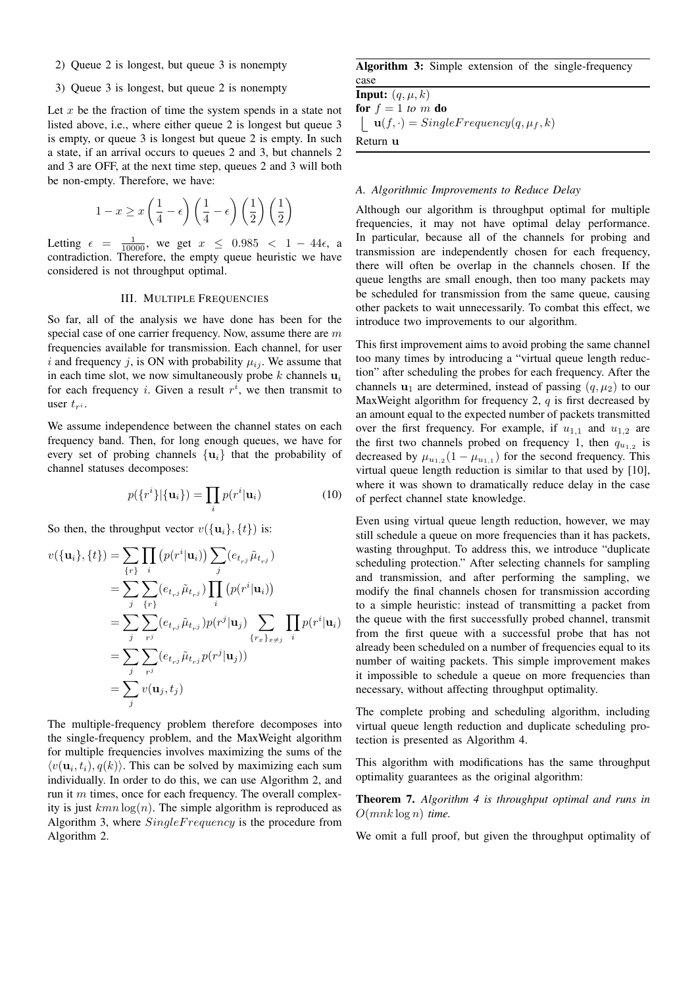- 2) Queue 2 is longest, but queue 3 is nonempty
- 3) Queue 3 is longest, but queue 2 is nonempty

Let  $x$  be the fraction of time the system spends in a state not listed above, i.e., where either queue 2 is longest but queue 3 is empty, or queue 3 is longest but queue 2 is empty. In such a state, if an arrival occurs to queues 2 and 3, but channels 2 and 3 are OFF, at the next time step, queues 2 and 3 will both be non-empty. Therefore, we have:

$$
1 - x \ge x \left(\frac{1}{4} - \epsilon\right) \left(\frac{1}{4} - \epsilon\right) \left(\frac{1}{2}\right) \left(\frac{1}{2}\right)
$$

Letting  $\epsilon = \frac{1}{10000}$ , we get  $x \leq 0.985 < 1 - 44\epsilon$ , a contradiction. Therefore, the empty queue heuristic we have considered is not throughput optimal.

#### III. MULTIPLE FREQUENCIES

So far, all of the analysis we have done has been for the special case of one carrier frequency. Now, assume there are  $m$ frequencies available for transmission. Each channel, for user i and frequency j, is ON with probability  $\mu_{ij}$ . We assume that in each time slot, we now simultaneously probe  $k$  channels  $\mathbf{u}_i$ for each frequency *i*. Given a result  $r^i$ , we then transmit to user  $t_{r^i}$ .

We assume independence between the channel states on each frequency band. Then, for long enough queues, we have for every set of probing channels  $\{u_i\}$  that the probability of channel statuses decomposes:

$$
p(\lbrace r^i \rbrace | \lbrace \mathbf{u}_i \rbrace) = \prod_i p(r^i | \mathbf{u}_i)
$$
 (10)

So then, the throughput vector  $v({\bf{u}}_i, \{t\})$  is:

$$
v(\{\mathbf{u}_i\}, \{t\}) = \sum_{\{r\}} \prod_i (p(r^i | \mathbf{u}_i)) \sum_j (e_{t_{rj}} \tilde{\mu}_{t_{rj}})
$$
  
\n
$$
= \sum_j \sum_{\{r\}} (e_{t_{rj}} \tilde{\mu}_{t_{rj}}) \prod_i (p(r^i | \mathbf{u}_i))
$$
  
\n
$$
= \sum_j \sum_{rj} (e_{t_{rj}} \tilde{\mu}_{t_{rj}}) p(r^j | \mathbf{u}_j) \sum_{\{r_x\}_{x \neq j}} \prod_i p(r^i | \mathbf{u}_i)
$$
  
\n
$$
= \sum_j \sum_{rj} (e_{t_{rj}} \tilde{\mu}_{t_{rj}} p(r^j | \mathbf{u}_j))
$$
  
\n
$$
= \sum_j v(\mathbf{u}_j, t_j)
$$

The multiple-frequency problem therefore decomposes into the single-frequency problem, and the MaxWeight algorithm for multiple frequencies involves maximizing the sums of the  $\langle v(\mathbf{u}_i, t_i), q(k) \rangle$ . This can be solved by maximizing each sum individually. In order to do this, we can use Algorithm 2, and run it  $m$  times, once for each frequency. The overall complexity is just  $kmn \log(n)$ . The simple algorithm is reproduced as Algorithm 3, where  $SingleFrequency$  is the procedure from Algorithm 2.

Algorithm 3: Simple extension of the single-frequency case

**Input:**  $(q, \mu, k)$ for  $f = 1$  *to*  $m$  do  $u(f, \cdot) = SingleFrequency(q, \mu_f, k)$ Return u

## *A. Algorithmic Improvements to Reduce Delay*

Although our algorithm is throughput optimal for multiple frequencies, it may not have optimal delay performance. In particular, because all of the channels for probing and transmission are independently chosen for each frequency, there will often be overlap in the channels chosen. If the queue lengths are small enough, then too many packets may be scheduled for transmission from the same queue, causing other packets to wait unnecessarily. To combat this effect, we introduce two improvements to our algorithm.

This first improvement aims to avoid probing the same channel too many times by introducing a "virtual queue length reduction" after scheduling the probes for each frequency. After the channels  $\mathbf{u}_1$  are determined, instead of passing  $(q, \mu_2)$  to our MaxWeight algorithm for frequency 2,  $q$  is first decreased by an amount equal to the expected number of packets transmitted over the first frequency. For example, if  $u_{1,1}$  and  $u_{1,2}$  are the first two channels probed on frequency 1, then  $q_{u_{1,2}}$  is decreased by  $\mu_{u_{1,2}}(1 - \mu_{u_{1,1}})$  for the second frequency. This virtual queue length reduction is similar to that used by [10], where it was shown to dramatically reduce delay in the case of perfect channel state knowledge.

Even using virtual queue length reduction, however, we may still schedule a queue on more frequencies than it has packets, wasting throughput. To address this, we introduce "duplicate scheduling protection." After selecting channels for sampling and transmission, and after performing the sampling, we modify the final channels chosen for transmission according to a simple heuristic: instead of transmitting a packet from the queue with the first successfully probed channel, transmit from the first queue with a successful probe that has not already been scheduled on a number of frequencies equal to its number of waiting packets. This simple improvement makes it impossible to schedule a queue on more frequencies than necessary, without affecting throughput optimality.

The complete probing and scheduling algorithm, including virtual queue length reduction and duplicate scheduling protection is presented as Algorithm 4.

This algorithm with modifications has the same throughput optimality guarantees as the original algorithm:

Theorem 7. *Algorithm 4 is throughput optimal and runs in* O(mnk log n) *time.*

We omit a full proof, but given the throughput optimality of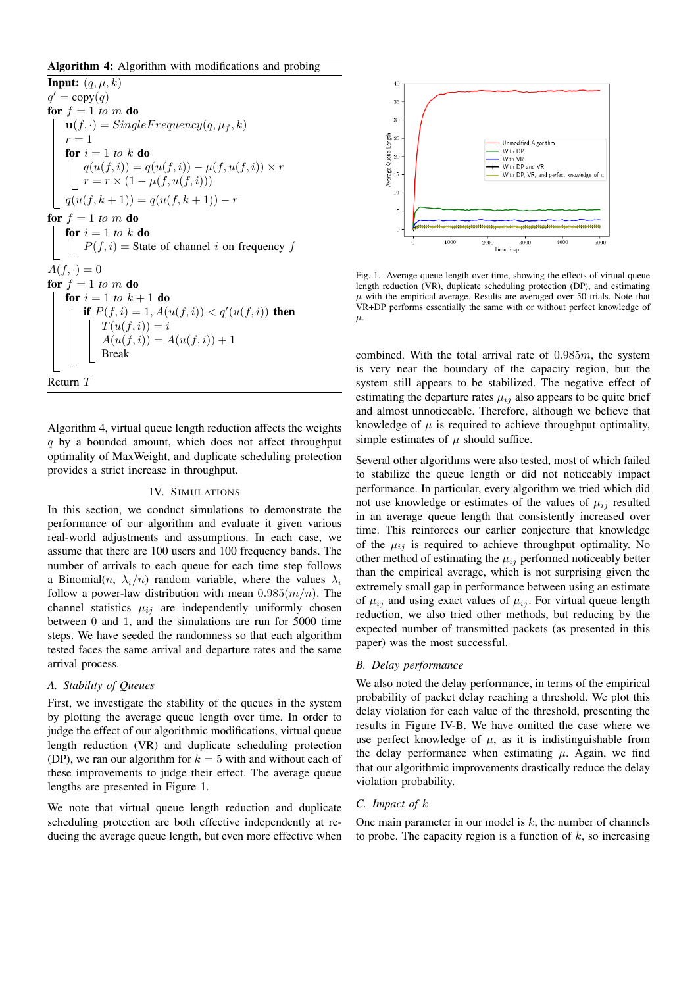## Algorithm 4: Algorithm with modifications and probing

**Input:**  $(q, \mu, k)$  $q' = \text{copy}(q)$ for  $f = 1$  *to*  $m$  do  $\mathbf{u}(f, \cdot) = SingleFrequency(q, \mu_f, k)$  $r = 1$ for  $i = 1$  to k do  $q(u(f, i)) = q(u(f, i)) - \mu(f, u(f, i)) \times r$  $r = r \times (1 - \mu(f, u(f, i)))$  $q(u(f, k + 1)) = q(u(f, k + 1)) - r$ for  $f = 1$  *to*  $m$  do for  $i = 1$  to k do  $P(f, i)$  = State of channel i on frequency f  $A(f, \cdot) = 0$ for  $f = 1$  *to*  $m$  do **for**  $i = 1$  *to*  $k + 1$  **do** if  $P(f, i) = 1, A(u(f, i)) < q'(u(f, i))$  then  $T(u(f, i)) = i$  $A(u(f, i)) = A(u(f, i)) + 1$ Break Return T

Algorithm 4, virtual queue length reduction affects the weights  $q$  by a bounded amount, which does not affect throughput optimality of MaxWeight, and duplicate scheduling protection provides a strict increase in throughput.

## IV. SIMULATIONS

In this section, we conduct simulations to demonstrate the performance of our algorithm and evaluate it given various real-world adjustments and assumptions. In each case, we assume that there are 100 users and 100 frequency bands. The number of arrivals to each queue for each time step follows a Binomial $(n, \lambda_i/n)$  random variable, where the values  $\lambda_i$ follow a power-law distribution with mean  $0.985(m/n)$ . The channel statistics  $\mu_{ij}$  are independently uniformly chosen between 0 and 1, and the simulations are run for 5000 time steps. We have seeded the randomness so that each algorithm tested faces the same arrival and departure rates and the same arrival process.

## *A. Stability of Queues*

First, we investigate the stability of the queues in the system by plotting the average queue length over time. In order to judge the effect of our algorithmic modifications, virtual queue length reduction (VR) and duplicate scheduling protection (DP), we ran our algorithm for  $k = 5$  with and without each of these improvements to judge their effect. The average queue lengths are presented in Figure 1.

We note that virtual queue length reduction and duplicate scheduling protection are both effective independently at reducing the average queue length, but even more effective when



Fig. 1. Average queue length over time, showing the effects of virtual queue length reduction (VR), duplicate scheduling protection (DP), and estimating  $\mu$  with the empirical average. Results are averaged over 50 trials. Note that VR+DP performs essentially the same with or without perfect knowledge of  $\mu$ .

combined. With the total arrival rate of  $0.985m$ , the system is very near the boundary of the capacity region, but the system still appears to be stabilized. The negative effect of estimating the departure rates  $\mu_{ij}$  also appears to be quite brief and almost unnoticeable. Therefore, although we believe that knowledge of  $\mu$  is required to achieve throughput optimality, simple estimates of  $\mu$  should suffice.

Several other algorithms were also tested, most of which failed to stabilize the queue length or did not noticeably impact performance. In particular, every algorithm we tried which did not use knowledge or estimates of the values of  $\mu_{ij}$  resulted in an average queue length that consistently increased over time. This reinforces our earlier conjecture that knowledge of the  $\mu_{ij}$  is required to achieve throughput optimality. No other method of estimating the  $\mu_{ij}$  performed noticeably better than the empirical average, which is not surprising given the extremely small gap in performance between using an estimate of  $\mu_{ij}$  and using exact values of  $\mu_{ij}$ . For virtual queue length reduction, we also tried other methods, but reducing by the expected number of transmitted packets (as presented in this paper) was the most successful.

## *B. Delay performance*

We also noted the delay performance, in terms of the empirical probability of packet delay reaching a threshold. We plot this delay violation for each value of the threshold, presenting the results in Figure IV-B. We have omitted the case where we use perfect knowledge of  $\mu$ , as it is indistinguishable from the delay performance when estimating  $\mu$ . Again, we find that our algorithmic improvements drastically reduce the delay violation probability.

# *C. Impact of* k

One main parameter in our model is  $k$ , the number of channels to probe. The capacity region is a function of  $k$ , so increasing